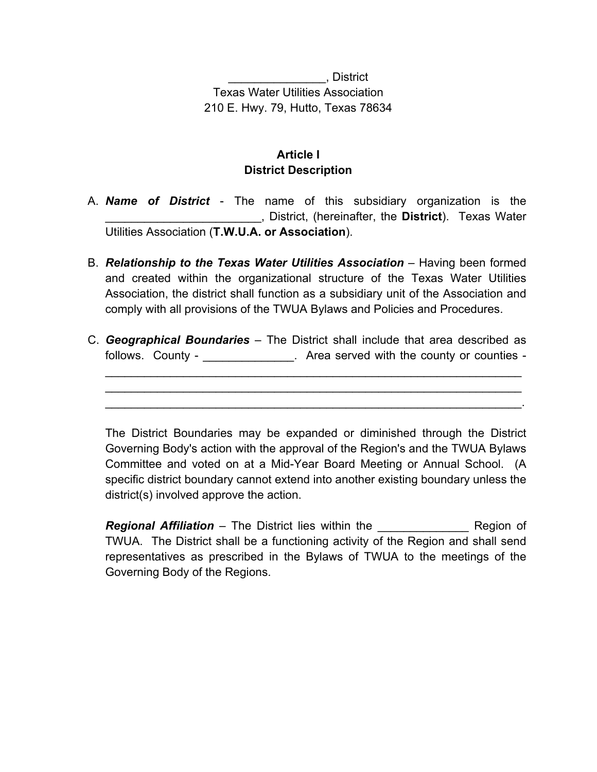\_\_\_\_\_\_\_\_\_\_\_\_\_\_\_, District Texas Water Utilities Association 210 E. Hwy. 79, Hutto, Texas 78634

## **Article I District Description**

- A. *Name of District* The name of this subsidiary organization is the \_\_\_\_\_\_\_\_\_\_\_\_\_\_\_\_\_\_\_\_\_\_\_\_, District, (hereinafter, the **District**). Texas Water Utilities Association (**T.W.U.A. or Association**).
- B. *Relationship to the Texas Water Utilities Association* Having been formed and created within the organizational structure of the Texas Water Utilities Association, the district shall function as a subsidiary unit of the Association and comply with all provisions of the TWUA Bylaws and Policies and Procedures.
- C. *Geographical Boundaries* The District shall include that area described as follows. County - The County - Larea served with the county or counties -

 $\mathcal{L}_\text{max} = \mathcal{L}_\text{max} = \mathcal{L}_\text{max} = \mathcal{L}_\text{max} = \mathcal{L}_\text{max} = \mathcal{L}_\text{max} = \mathcal{L}_\text{max} = \mathcal{L}_\text{max} = \mathcal{L}_\text{max} = \mathcal{L}_\text{max} = \mathcal{L}_\text{max} = \mathcal{L}_\text{max} = \mathcal{L}_\text{max} = \mathcal{L}_\text{max} = \mathcal{L}_\text{max} = \mathcal{L}_\text{max} = \mathcal{L}_\text{max} = \mathcal{L}_\text{max} = \mathcal{$ \_\_\_\_\_\_\_\_\_\_\_\_\_\_\_\_\_\_\_\_\_\_\_\_\_\_\_\_\_\_\_\_\_\_\_\_\_\_\_\_\_\_\_\_\_\_\_\_\_\_\_\_\_\_\_\_\_\_\_\_\_\_\_\_ \_\_\_\_\_\_\_\_\_\_\_\_\_\_\_\_\_\_\_\_\_\_\_\_\_\_\_\_\_\_\_\_\_\_\_\_\_\_\_\_\_\_\_\_\_\_\_\_\_\_\_\_\_\_\_\_\_\_\_\_\_\_\_\_.

The District Boundaries may be expanded or diminished through the District Governing Body's action with the approval of the Region's and the TWUA Bylaws Committee and voted on at a Mid-Year Board Meeting or Annual School. (A specific district boundary cannot extend into another existing boundary unless the district(s) involved approve the action.

**Regional Affiliation** – The District lies within the **Region Strates Region of** TWUA. The District shall be a functioning activity of the Region and shall send representatives as prescribed in the Bylaws of TWUA to the meetings of the Governing Body of the Regions.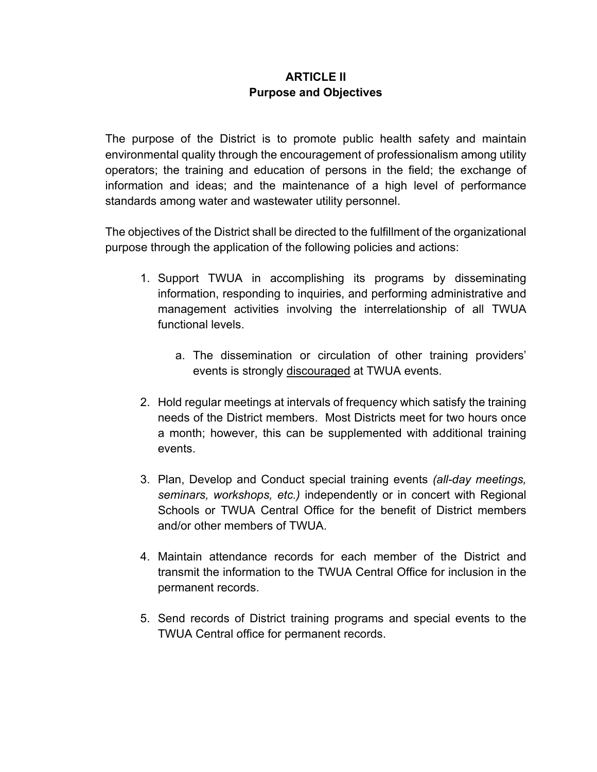## **ARTICLE II Purpose and Objectives**

The purpose of the District is to promote public health safety and maintain environmental quality through the encouragement of professionalism among utility operators; the training and education of persons in the field; the exchange of information and ideas; and the maintenance of a high level of performance standards among water and wastewater utility personnel.

The objectives of the District shall be directed to the fulfillment of the organizational purpose through the application of the following policies and actions:

- 1. Support TWUA in accomplishing its programs by disseminating information, responding to inquiries, and performing administrative and management activities involving the interrelationship of all TWUA functional levels.
	- a. The dissemination or circulation of other training providers' events is strongly discouraged at TWUA events.
- 2. Hold regular meetings at intervals of frequency which satisfy the training needs of the District members. Most Districts meet for two hours once a month; however, this can be supplemented with additional training events.
- 3. Plan, Develop and Conduct special training events *(all-day meetings, seminars, workshops, etc.)* independently or in concert with Regional Schools or TWUA Central Office for the benefit of District members and/or other members of TWUA.
- 4. Maintain attendance records for each member of the District and transmit the information to the TWUA Central Office for inclusion in the permanent records.
- 5. Send records of District training programs and special events to the TWUA Central office for permanent records.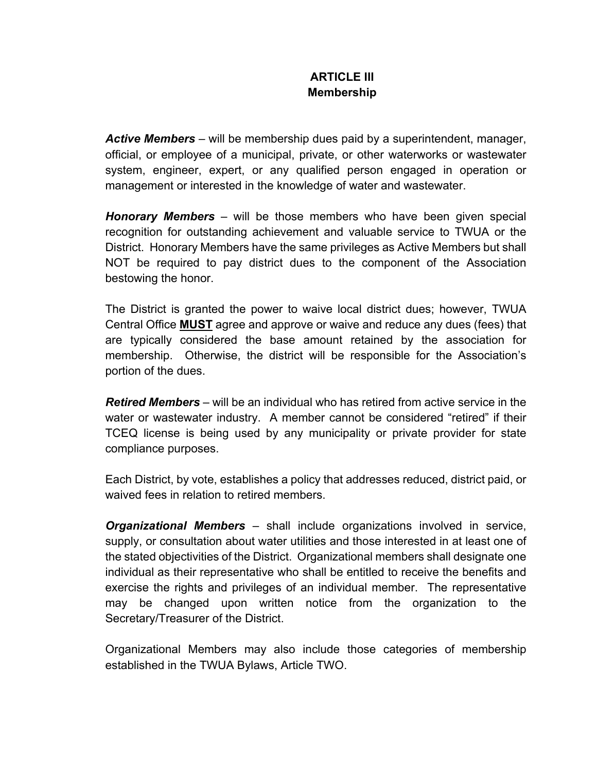## **ARTICLE III Membership**

*Active Members* – will be membership dues paid by a superintendent, manager, official, or employee of a municipal, private, or other waterworks or wastewater system, engineer, expert, or any qualified person engaged in operation or management or interested in the knowledge of water and wastewater.

*Honorary Members* – will be those members who have been given special recognition for outstanding achievement and valuable service to TWUA or the District. Honorary Members have the same privileges as Active Members but shall NOT be required to pay district dues to the component of the Association bestowing the honor.

The District is granted the power to waive local district dues; however, TWUA Central Office **MUST** agree and approve or waive and reduce any dues (fees) that are typically considered the base amount retained by the association for membership. Otherwise, the district will be responsible for the Association's portion of the dues.

*Retired Members* – will be an individual who has retired from active service in the water or wastewater industry. A member cannot be considered "retired" if their TCEQ license is being used by any municipality or private provider for state compliance purposes.

Each District, by vote, establishes a policy that addresses reduced, district paid, or waived fees in relation to retired members.

*Organizational Members* – shall include organizations involved in service, supply, or consultation about water utilities and those interested in at least one of the stated objectivities of the District. Organizational members shall designate one individual as their representative who shall be entitled to receive the benefits and exercise the rights and privileges of an individual member. The representative may be changed upon written notice from the organization to the Secretary/Treasurer of the District.

Organizational Members may also include those categories of membership established in the TWUA Bylaws, Article TWO.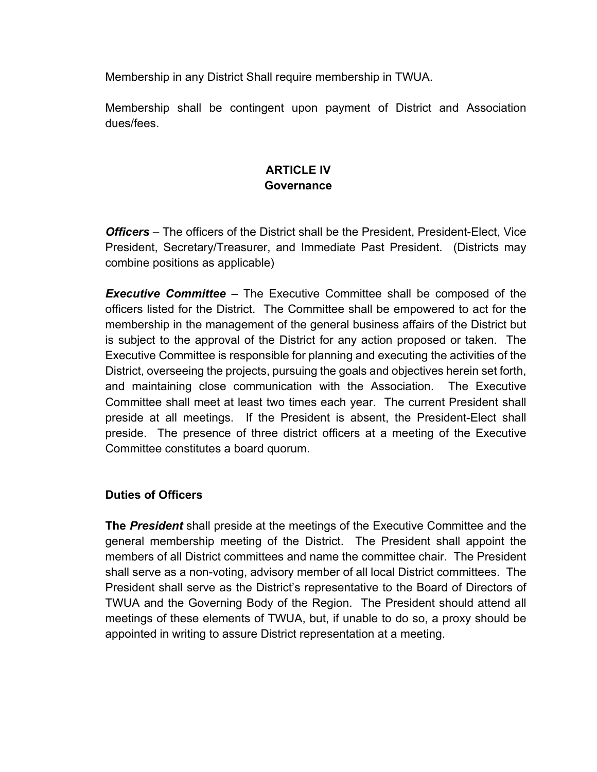Membership in any District Shall require membership in TWUA.

Membership shall be contingent upon payment of District and Association dues/fees.

## **ARTICLE IV Governance**

*Officers* – The officers of the District shall be the President, President-Elect, Vice President, Secretary/Treasurer, and Immediate Past President. (Districts may combine positions as applicable)

*Executive Committee* – The Executive Committee shall be composed of the officers listed for the District. The Committee shall be empowered to act for the membership in the management of the general business affairs of the District but is subject to the approval of the District for any action proposed or taken. The Executive Committee is responsible for planning and executing the activities of the District, overseeing the projects, pursuing the goals and objectives herein set forth, and maintaining close communication with the Association. The Executive Committee shall meet at least two times each year. The current President shall preside at all meetings. If the President is absent, the President-Elect shall preside. The presence of three district officers at a meeting of the Executive Committee constitutes a board quorum.

### **Duties of Officers**

**The** *President* shall preside at the meetings of the Executive Committee and the general membership meeting of the District. The President shall appoint the members of all District committees and name the committee chair. The President shall serve as a non-voting, advisory member of all local District committees. The President shall serve as the District's representative to the Board of Directors of TWUA and the Governing Body of the Region. The President should attend all meetings of these elements of TWUA, but, if unable to do so, a proxy should be appointed in writing to assure District representation at a meeting.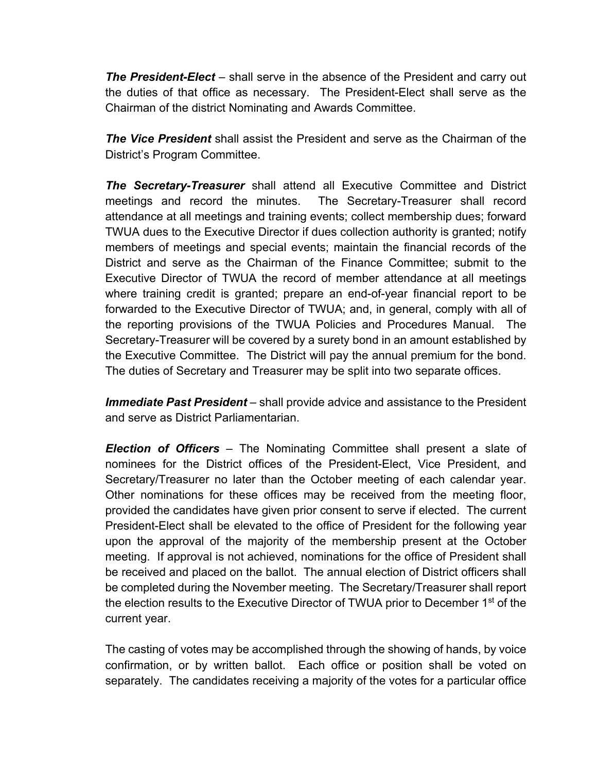*The President-Elect* – shall serve in the absence of the President and carry out the duties of that office as necessary. The President-Elect shall serve as the Chairman of the district Nominating and Awards Committee.

*The Vice President* shall assist the President and serve as the Chairman of the District's Program Committee.

*The Secretary-Treasurer* shall attend all Executive Committee and District meetings and record the minutes. The Secretary-Treasurer shall record attendance at all meetings and training events; collect membership dues; forward TWUA dues to the Executive Director if dues collection authority is granted; notify members of meetings and special events; maintain the financial records of the District and serve as the Chairman of the Finance Committee; submit to the Executive Director of TWUA the record of member attendance at all meetings where training credit is granted; prepare an end-of-year financial report to be forwarded to the Executive Director of TWUA; and, in general, comply with all of the reporting provisions of the TWUA Policies and Procedures Manual. The Secretary-Treasurer will be covered by a surety bond in an amount established by the Executive Committee. The District will pay the annual premium for the bond. The duties of Secretary and Treasurer may be split into two separate offices.

*Immediate Past President* – shall provide advice and assistance to the President and serve as District Parliamentarian.

*Election of Officers* – The Nominating Committee shall present a slate of nominees for the District offices of the President-Elect, Vice President, and Secretary/Treasurer no later than the October meeting of each calendar year. Other nominations for these offices may be received from the meeting floor, provided the candidates have given prior consent to serve if elected. The current President-Elect shall be elevated to the office of President for the following year upon the approval of the majority of the membership present at the October meeting. If approval is not achieved, nominations for the office of President shall be received and placed on the ballot. The annual election of District officers shall be completed during the November meeting. The Secretary/Treasurer shall report the election results to the Executive Director of TWUA prior to December 1<sup>st</sup> of the current year.

The casting of votes may be accomplished through the showing of hands, by voice confirmation, or by written ballot. Each office or position shall be voted on separately. The candidates receiving a majority of the votes for a particular office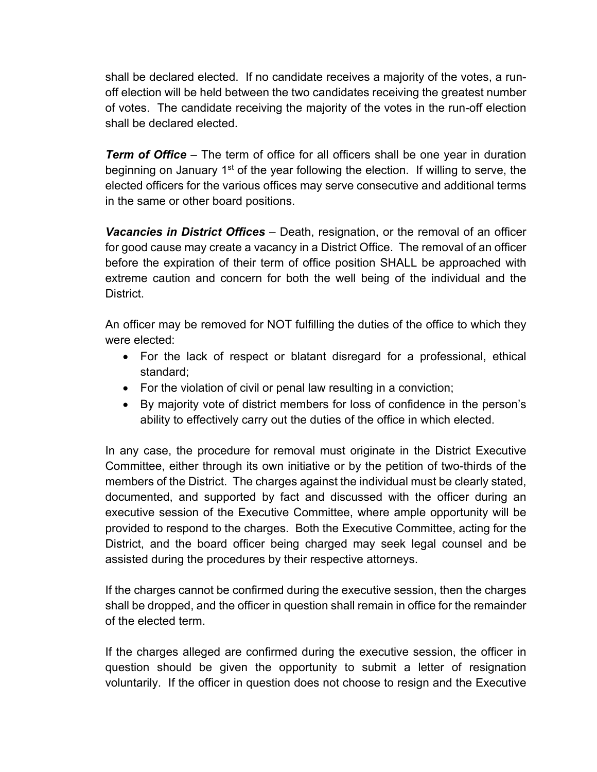shall be declared elected. If no candidate receives a majority of the votes, a runoff election will be held between the two candidates receiving the greatest number of votes. The candidate receiving the majority of the votes in the run-off election shall be declared elected.

*Term of Office* – The term of office for all officers shall be one year in duration beginning on January 1<sup>st</sup> of the year following the election. If willing to serve, the elected officers for the various offices may serve consecutive and additional terms in the same or other board positions.

*Vacancies in District Offices* – Death, resignation, or the removal of an officer for good cause may create a vacancy in a District Office. The removal of an officer before the expiration of their term of office position SHALL be approached with extreme caution and concern for both the well being of the individual and the District.

An officer may be removed for NOT fulfilling the duties of the office to which they were elected:

- For the lack of respect or blatant disregard for a professional, ethical standard;
- For the violation of civil or penal law resulting in a conviction;
- By majority vote of district members for loss of confidence in the person's ability to effectively carry out the duties of the office in which elected.

In any case, the procedure for removal must originate in the District Executive Committee, either through its own initiative or by the petition of two-thirds of the members of the District. The charges against the individual must be clearly stated, documented, and supported by fact and discussed with the officer during an executive session of the Executive Committee, where ample opportunity will be provided to respond to the charges. Both the Executive Committee, acting for the District, and the board officer being charged may seek legal counsel and be assisted during the procedures by their respective attorneys.

If the charges cannot be confirmed during the executive session, then the charges shall be dropped, and the officer in question shall remain in office for the remainder of the elected term.

If the charges alleged are confirmed during the executive session, the officer in question should be given the opportunity to submit a letter of resignation voluntarily. If the officer in question does not choose to resign and the Executive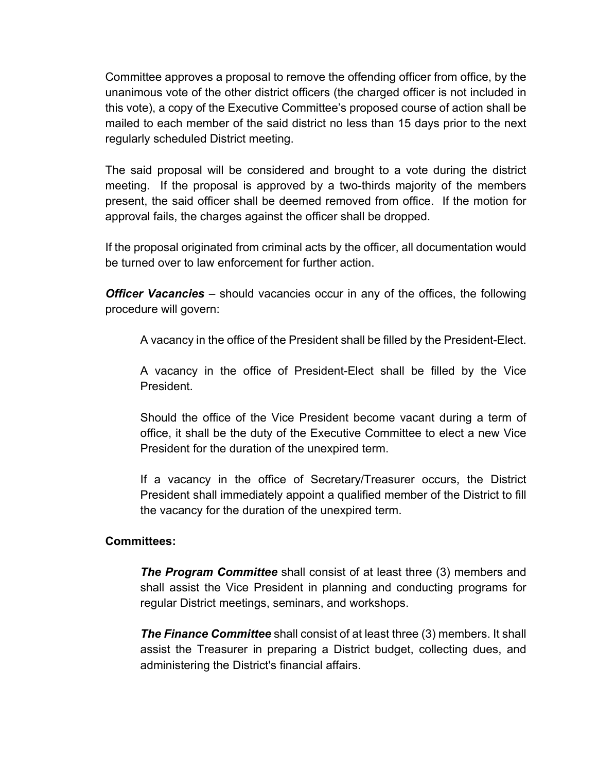Committee approves a proposal to remove the offending officer from office, by the unanimous vote of the other district officers (the charged officer is not included in this vote), a copy of the Executive Committee's proposed course of action shall be mailed to each member of the said district no less than 15 days prior to the next regularly scheduled District meeting.

The said proposal will be considered and brought to a vote during the district meeting. If the proposal is approved by a two-thirds majority of the members present, the said officer shall be deemed removed from office. If the motion for approval fails, the charges against the officer shall be dropped.

If the proposal originated from criminal acts by the officer, all documentation would be turned over to law enforcement for further action.

*Officer Vacancies* – should vacancies occur in any of the offices, the following procedure will govern:

A vacancy in the office of the President shall be filled by the President-Elect.

A vacancy in the office of President-Elect shall be filled by the Vice President.

Should the office of the Vice President become vacant during a term of office, it shall be the duty of the Executive Committee to elect a new Vice President for the duration of the unexpired term.

If a vacancy in the office of Secretary/Treasurer occurs, the District President shall immediately appoint a qualified member of the District to fill the vacancy for the duration of the unexpired term.

### **Committees:**

*The Program Committee* shall consist of at least three (3) members and shall assist the Vice President in planning and conducting programs for regular District meetings, seminars, and workshops.

*The Finance Committee* shall consist of at least three (3) members. It shall assist the Treasurer in preparing a District budget, collecting dues, and administering the District's financial affairs.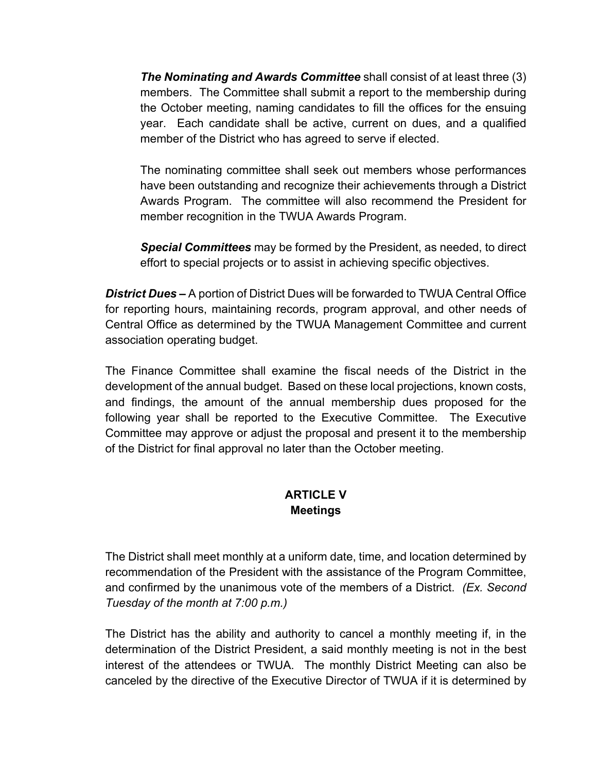*The Nominating and Awards Committee* shall consist of at least three (3) members. The Committee shall submit a report to the membership during the October meeting, naming candidates to fill the offices for the ensuing year. Each candidate shall be active, current on dues, and a qualified member of the District who has agreed to serve if elected.

The nominating committee shall seek out members whose performances have been outstanding and recognize their achievements through a District Awards Program. The committee will also recommend the President for member recognition in the TWUA Awards Program.

*Special Committees* may be formed by the President, as needed, to direct effort to special projects or to assist in achieving specific objectives.

*District Dues –* A portion of District Dues will be forwarded to TWUA Central Office for reporting hours, maintaining records, program approval, and other needs of Central Office as determined by the TWUA Management Committee and current association operating budget.

The Finance Committee shall examine the fiscal needs of the District in the development of the annual budget. Based on these local projections, known costs, and findings, the amount of the annual membership dues proposed for the following year shall be reported to the Executive Committee. The Executive Committee may approve or adjust the proposal and present it to the membership of the District for final approval no later than the October meeting.

### **ARTICLE V Meetings**

The District shall meet monthly at a uniform date, time, and location determined by recommendation of the President with the assistance of the Program Committee, and confirmed by the unanimous vote of the members of a District. *(Ex. Second Tuesday of the month at 7:00 p.m.)*

The District has the ability and authority to cancel a monthly meeting if, in the determination of the District President, a said monthly meeting is not in the best interest of the attendees or TWUA. The monthly District Meeting can also be canceled by the directive of the Executive Director of TWUA if it is determined by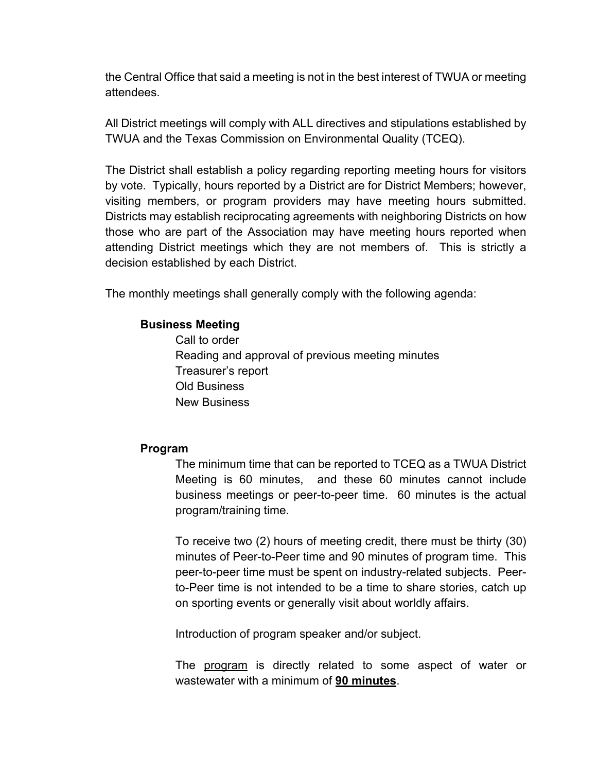the Central Office that said a meeting is not in the best interest of TWUA or meeting attendees.

All District meetings will comply with ALL directives and stipulations established by TWUA and the Texas Commission on Environmental Quality (TCEQ).

The District shall establish a policy regarding reporting meeting hours for visitors by vote. Typically, hours reported by a District are for District Members; however, visiting members, or program providers may have meeting hours submitted. Districts may establish reciprocating agreements with neighboring Districts on how those who are part of the Association may have meeting hours reported when attending District meetings which they are not members of. This is strictly a decision established by each District.

The monthly meetings shall generally comply with the following agenda:

### **Business Meeting**

Call to order Reading and approval of previous meeting minutes Treasurer's report Old Business New Business

### **Program**

The minimum time that can be reported to TCEQ as a TWUA District Meeting is 60 minutes, and these 60 minutes cannot include business meetings or peer-to-peer time. 60 minutes is the actual program/training time.

To receive two (2) hours of meeting credit, there must be thirty (30) minutes of Peer-to-Peer time and 90 minutes of program time. This peer-to-peer time must be spent on industry-related subjects. Peerto-Peer time is not intended to be a time to share stories, catch up on sporting events or generally visit about worldly affairs.

Introduction of program speaker and/or subject.

The program is directly related to some aspect of water or wastewater with a minimum of **90 minutes**.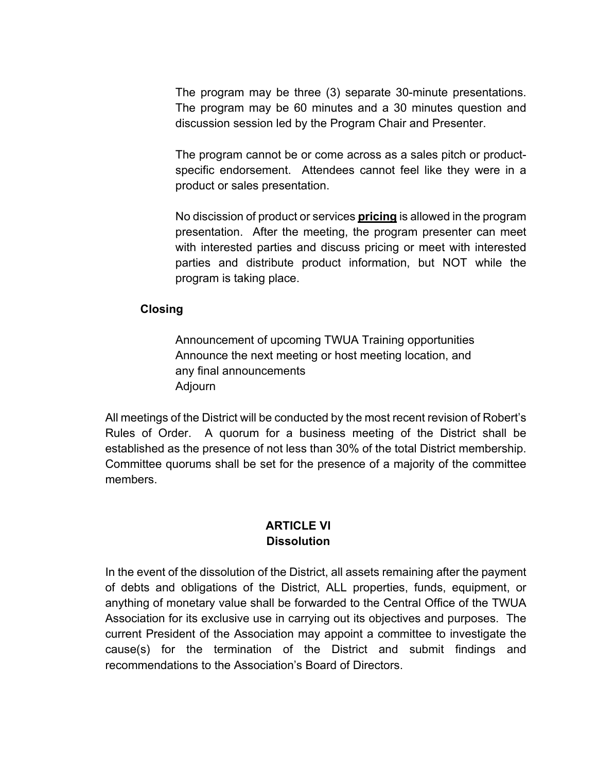The program may be three (3) separate 30-minute presentations. The program may be 60 minutes and a 30 minutes question and discussion session led by the Program Chair and Presenter.

The program cannot be or come across as a sales pitch or productspecific endorsement. Attendees cannot feel like they were in a product or sales presentation.

No discission of product or services **pricing** is allowed in the program presentation. After the meeting, the program presenter can meet with interested parties and discuss pricing or meet with interested parties and distribute product information, but NOT while the program is taking place.

### **Closing**

Announcement of upcoming TWUA Training opportunities Announce the next meeting or host meeting location, and any final announcements Adjourn

All meetings of the District will be conducted by the most recent revision of Robert's Rules of Order. A quorum for a business meeting of the District shall be established as the presence of not less than 30% of the total District membership. Committee quorums shall be set for the presence of a majority of the committee members.

### **ARTICLE VI Dissolution**

In the event of the dissolution of the District, all assets remaining after the payment of debts and obligations of the District, ALL properties, funds, equipment, or anything of monetary value shall be forwarded to the Central Office of the TWUA Association for its exclusive use in carrying out its objectives and purposes. The current President of the Association may appoint a committee to investigate the cause(s) for the termination of the District and submit findings and recommendations to the Association's Board of Directors.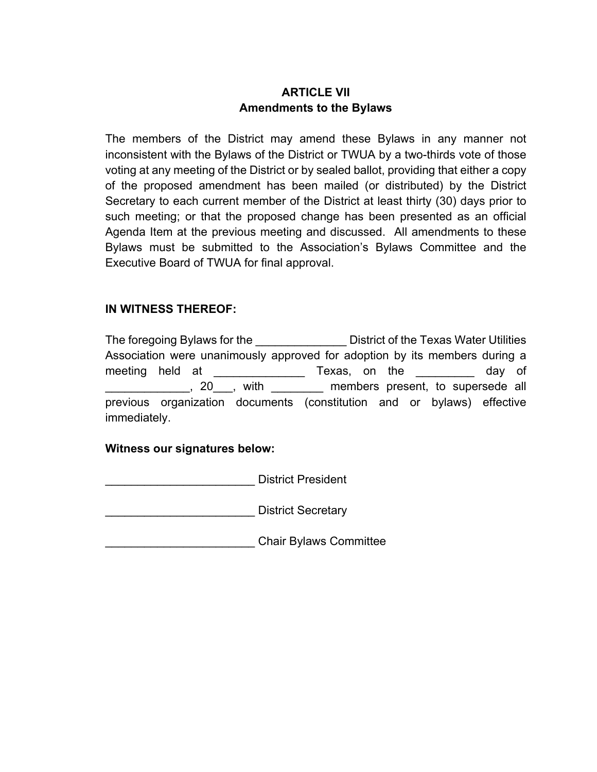# **ARTICLE VII Amendments to the Bylaws**

The members of the District may amend these Bylaws in any manner not inconsistent with the Bylaws of the District or TWUA by a two-thirds vote of those voting at any meeting of the District or by sealed ballot, providing that either a copy of the proposed amendment has been mailed (or distributed) by the District Secretary to each current member of the District at least thirty (30) days prior to such meeting; or that the proposed change has been presented as an official Agenda Item at the previous meeting and discussed. All amendments to these Bylaws must be submitted to the Association's Bylaws Committee and the Executive Board of TWUA for final approval.

### **IN WITNESS THEREOF:**

The foregoing Bylaws for the **Example 10** District of the Texas Water Utilities Association were unanimously approved for adoption by its members during a meeting held at \_\_\_\_\_\_\_\_\_\_\_\_\_\_ Texas, on the \_\_\_\_\_\_\_\_\_ day of \_\_\_\_\_\_\_\_\_\_\_\_\_, 20\_\_\_, with \_\_\_\_\_\_\_\_ members present, to supersede all previous organization documents (constitution and or bylaws) effective immediately.

#### **Witness our signatures below:**

District President

District Secretary

\_\_\_\_\_\_\_\_\_\_\_\_\_\_\_\_\_\_\_\_\_\_\_ Chair Bylaws Committee